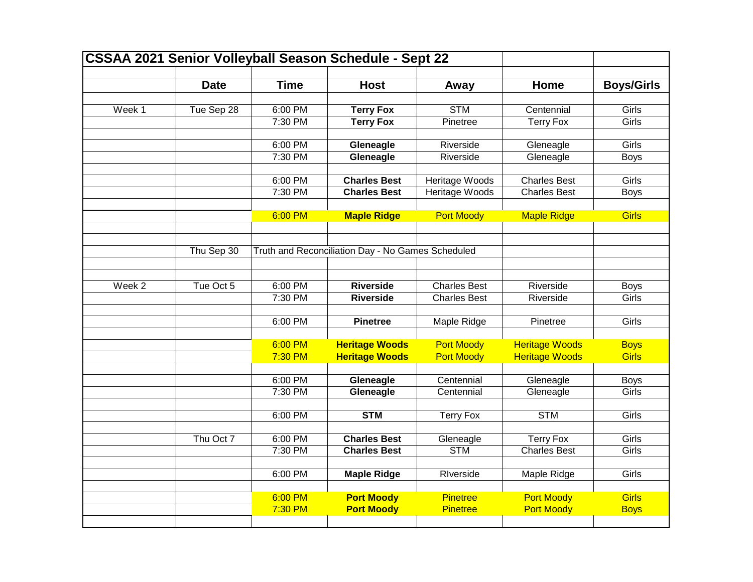|                   |             |                    | <b>CSSAA 2021 Senior Volleyball Season Schedule - Sept 22</b> |                                    |                                        |                             |
|-------------------|-------------|--------------------|---------------------------------------------------------------|------------------------------------|----------------------------------------|-----------------------------|
|                   | <b>Date</b> | <b>Time</b>        | <b>Host</b>                                                   | Away                               | Home                                   | <b>Boys/Girls</b>           |
|                   |             |                    |                                                               |                                    |                                        |                             |
| Week 1            | Tue Sep 28  | 6:00 PM            | <b>Terry Fox</b>                                              | <b>STM</b>                         | Centennial                             | Girls                       |
|                   |             | 7:30 PM            | <b>Terry Fox</b>                                              | Pinetree                           | <b>Terry Fox</b>                       | Girls                       |
|                   |             | 6:00 PM            | Gleneagle                                                     | Riverside                          | Gleneagle                              | Girls                       |
|                   |             | 7:30 PM            | Gleneagle                                                     | Riverside                          | Gleneagle                              | <b>Boys</b>                 |
|                   |             | 6:00 PM            | <b>Charles Best</b>                                           | Heritage Woods                     | <b>Charles Best</b>                    | Girls                       |
|                   |             | 7:30 PM            | <b>Charles Best</b>                                           | Heritage Woods                     | <b>Charles Best</b>                    | <b>Boys</b>                 |
|                   |             |                    |                                                               |                                    |                                        |                             |
|                   |             | 6:00 PM            | <b>Maple Ridge</b>                                            | <b>Port Moody</b>                  | <b>Maple Ridge</b>                     | <b>Girls</b>                |
|                   |             |                    |                                                               |                                    |                                        |                             |
|                   | Thu Sep 30  |                    | Truth and Reconciliation Day - No Games Scheduled             |                                    |                                        |                             |
|                   |             |                    |                                                               |                                    |                                        |                             |
| Week <sub>2</sub> | Tue Oct 5   | 6:00 PM            | <b>Riverside</b>                                              | <b>Charles Best</b>                | Riverside                              | <b>Boys</b>                 |
|                   |             | 7:30 PM            | <b>Riverside</b>                                              | <b>Charles Best</b>                | Riverside                              | Girls                       |
|                   |             |                    |                                                               |                                    |                                        |                             |
|                   |             | 6:00 PM            | <b>Pinetree</b>                                               | <b>Maple Ridge</b>                 | Pinetree                               | Girls                       |
|                   |             |                    |                                                               |                                    |                                        |                             |
|                   |             | 6:00 PM            | <b>Heritage Woods</b>                                         | <b>Port Moody</b>                  | <b>Heritage Woods</b>                  | <b>Boys</b>                 |
|                   |             | 7:30 PM            | <b>Heritage Woods</b>                                         | <b>Port Moody</b>                  | <b>Heritage Woods</b>                  | <b>Girls</b>                |
|                   |             | 6:00 PM            | Gleneagle                                                     | Centennial                         | Gleneagle                              | <b>Boys</b>                 |
|                   |             | 7:30 PM            | Gleneagle                                                     | Centennial                         | Gleneagle                              | Girls                       |
|                   |             |                    |                                                               |                                    |                                        |                             |
|                   |             | 6:00 PM            | <b>STM</b>                                                    | <b>Terry Fox</b>                   | <b>STM</b>                             | Girls                       |
|                   | Thu Oct 7   | 6:00 PM            | <b>Charles Best</b>                                           | Gleneagle                          | <b>Terry Fox</b>                       | Girls                       |
|                   |             | 7:30 PM            | <b>Charles Best</b>                                           | <b>STM</b>                         | <b>Charles Best</b>                    | Girls                       |
|                   |             |                    |                                                               |                                    |                                        |                             |
|                   |             | 6:00 PM            | <b>Maple Ridge</b>                                            | RIverside                          | Maple Ridge                            | Girls                       |
|                   |             |                    |                                                               |                                    |                                        |                             |
|                   |             | 6:00 PM<br>7:30 PM | <b>Port Moody</b><br><b>Port Moody</b>                        | <b>Pinetree</b><br><b>Pinetree</b> | <b>Port Moody</b><br><b>Port Moody</b> | <b>Girls</b><br><b>Boys</b> |
|                   |             |                    |                                                               |                                    |                                        |                             |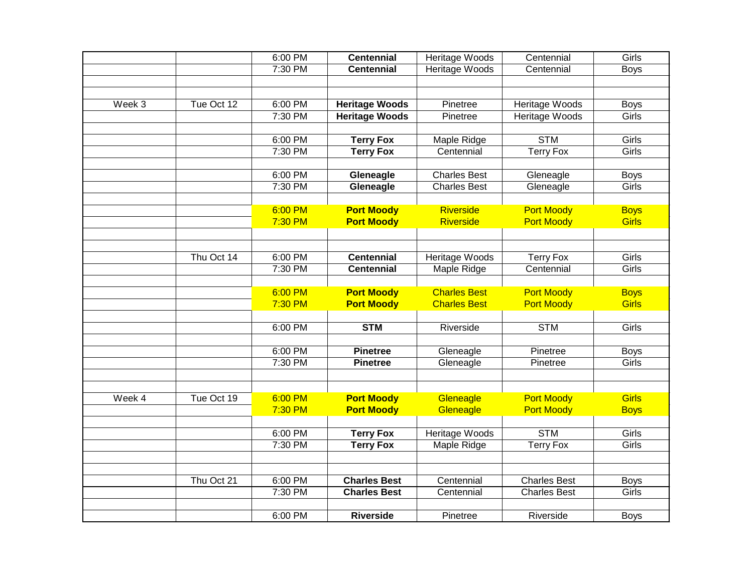|        |            | 6:00 PM | <b>Centennial</b>     | <b>Heritage Woods</b> | Centennial          | Girls        |
|--------|------------|---------|-----------------------|-----------------------|---------------------|--------------|
|        |            | 7:30 PM | <b>Centennial</b>     | Heritage Woods        | Centennial          | <b>Boys</b>  |
|        |            |         |                       |                       |                     |              |
|        |            |         |                       |                       |                     |              |
| Week 3 | Tue Oct 12 | 6:00 PM | <b>Heritage Woods</b> | Pinetree              | Heritage Woods      | <b>Boys</b>  |
|        |            | 7:30 PM | <b>Heritage Woods</b> | Pinetree              | Heritage Woods      | Girls        |
|        |            |         |                       |                       |                     |              |
|        |            | 6:00 PM | <b>Terry Fox</b>      | <b>Maple Ridge</b>    | <b>STM</b>          | Girls        |
|        |            | 7:30 PM | <b>Terry Fox</b>      | Centennial            | <b>Terry Fox</b>    | Girls        |
|        |            |         |                       |                       |                     |              |
|        |            | 6:00 PM | Gleneagle             | <b>Charles Best</b>   | Gleneagle           | <b>Boys</b>  |
|        |            | 7:30 PM | Gleneagle             | <b>Charles Best</b>   | Gleneagle           | Girls        |
|        |            |         |                       |                       |                     |              |
|        |            | 6:00 PM | <b>Port Moody</b>     | <b>Riverside</b>      | <b>Port Moody</b>   | <b>Boys</b>  |
|        |            | 7:30 PM | <b>Port Moody</b>     | <b>Riverside</b>      | <b>Port Moody</b>   | <b>Girls</b> |
|        |            |         |                       |                       |                     |              |
|        | Thu Oct 14 | 6:00 PM | <b>Centennial</b>     | <b>Heritage Woods</b> | <b>Terry Fox</b>    | Girls        |
|        |            | 7:30 PM | <b>Centennial</b>     |                       | Centennial          | Girls        |
|        |            |         |                       | Maple Ridge           |                     |              |
|        |            | 6:00 PM | <b>Port Moody</b>     | <b>Charles Best</b>   | <b>Port Moody</b>   | <b>Boys</b>  |
|        |            | 7:30 PM | <b>Port Moody</b>     | <b>Charles Best</b>   | <b>Port Moody</b>   | <b>Girls</b> |
|        |            |         |                       |                       |                     |              |
|        |            | 6:00 PM | <b>STM</b>            | Riverside             | <b>STM</b>          | Girls        |
|        |            |         |                       |                       |                     |              |
|        |            | 6:00 PM | <b>Pinetree</b>       | Gleneagle             | Pinetree            | <b>Boys</b>  |
|        |            | 7:30 PM | <b>Pinetree</b>       | Gleneagle             | Pinetree            | Girls        |
|        |            |         |                       |                       |                     |              |
|        |            |         |                       |                       |                     |              |
| Week 4 | Tue Oct 19 | 6:00 PM | <b>Port Moody</b>     | Gleneagle             | <b>Port Moody</b>   | <b>Girls</b> |
|        |            | 7:30 PM | <b>Port Moody</b>     | Gleneagle             | <b>Port Moody</b>   | <b>Boys</b>  |
|        |            |         |                       |                       |                     |              |
|        |            | 6:00 PM | <b>Terry Fox</b>      | <b>Heritage Woods</b> | <b>STM</b>          | Girls        |
|        |            | 7:30 PM | <b>Terry Fox</b>      | Maple Ridge           | <b>Terry Fox</b>    | Girls        |
|        |            |         |                       |                       |                     |              |
|        |            |         |                       |                       |                     |              |
|        | Thu Oct 21 | 6:00 PM | <b>Charles Best</b>   | Centennial            | <b>Charles Best</b> | <b>Boys</b>  |
|        |            | 7:30 PM | <b>Charles Best</b>   | Centennial            | <b>Charles Best</b> | Girls        |
|        |            |         |                       |                       |                     |              |
|        |            | 6:00 PM | <b>Riverside</b>      | Pinetree              | Riverside           | <b>Boys</b>  |